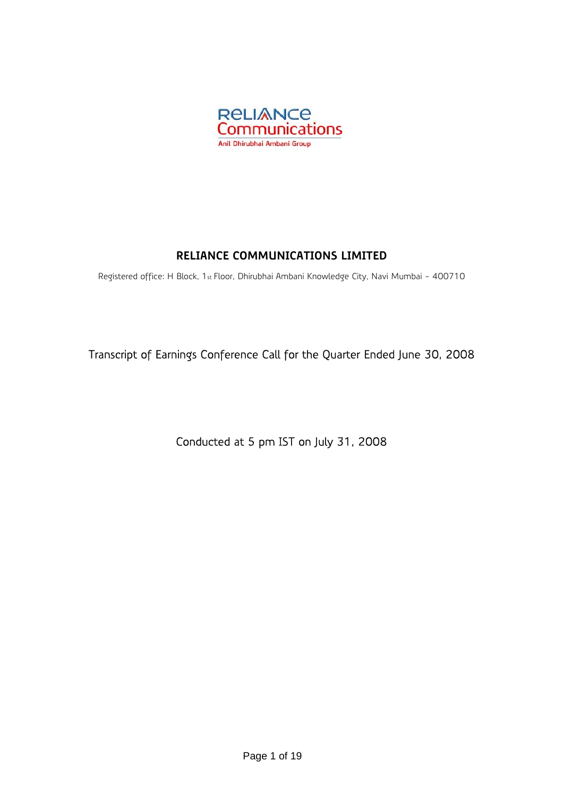

# **RELIANCE COMMUNICATIONS LIMITED**

Registered office: H Block, 1st Floor, Dhirubhai Ambani Knowledge City, Navi Mumbai - 400710

Transcript of Earnings Conference Call for the Quarter Ended June 30, 2008

Conducted at 5 pm IST on July 31, 2008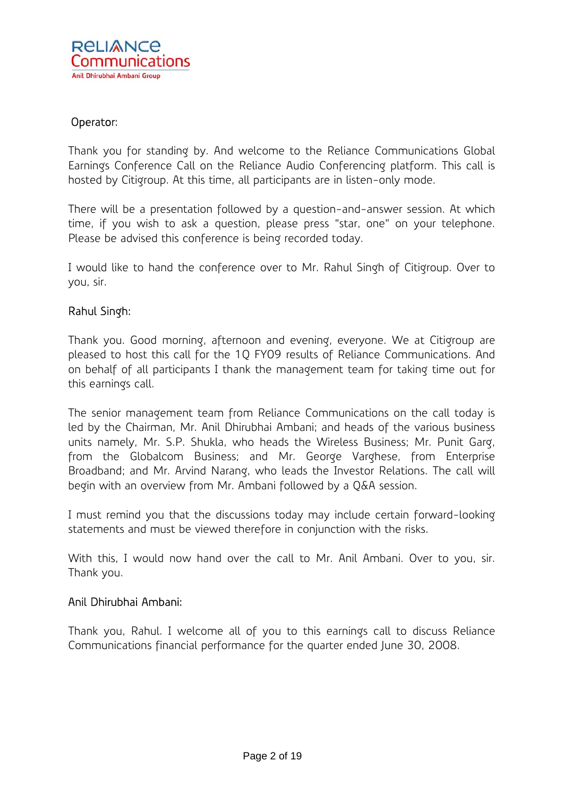# Operator:

Thank you for standing by. And welcome to the Reliance Communications Global Earnings Conference Call on the Reliance Audio Conferencing platform. This call is hosted by Citigroup. At this time, all participants are in listen-only mode.

There will be a presentation followed by a question-and-answer session. At which time, if you wish to ask a question, please press "star, one" on your telephone. Please be advised this conference is being recorded today.

I would like to hand the conference over to Mr. Rahul Singh of Citigroup. Over to you, sir.

# Rahul Singh:

Thank you. Good morning, afternoon and evening, everyone. We at Citigroup are pleased to host this call for the 1Q FY09 results of Reliance Communications. And on behalf of all participants I thank the management team for taking time out for this earnings call.

The senior management team from Reliance Communications on the call today is led by the Chairman, Mr. Anil Dhirubhai Ambani; and heads of the various business units namely, Mr. S.P. Shukla, who heads the Wireless Business; Mr. Punit Garg, from the Globalcom Business; and Mr. George Varghese, from Enterprise Broadband; and Mr. Arvind Narang, who leads the Investor Relations. The call will begin with an overview from Mr. Ambani followed by a Q&A session.

I must remind you that the discussions today may include certain forward-looking statements and must be viewed therefore in conjunction with the risks.

With this, I would now hand over the call to Mr. Anil Ambani. Over to you, sir. Thank you.

# Anil Dhirubhai Ambani:

Thank you, Rahul. I welcome all of you to this earnings call to discuss Reliance Communications financial performance for the quarter ended June 30, 2008.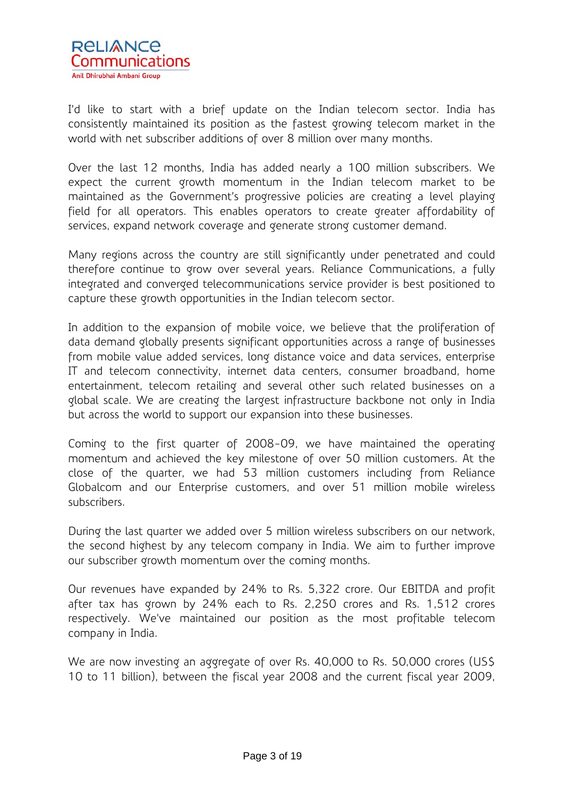

I'd like to start with a brief update on the Indian telecom sector. India has consistently maintained its position as the fastest growing telecom market in the world with net subscriber additions of over 8 million over many months.

Over the last 12 months, India has added nearly a 100 million subscribers. We expect the current growth momentum in the Indian telecom market to be maintained as the Government's progressive policies are creating a level playing field for all operators. This enables operators to create greater affordability of services, expand network coverage and generate strong customer demand.

Many regions across the country are still significantly under penetrated and could therefore continue to grow over several years. Reliance Communications, a fully integrated and converged telecommunications service provider is best positioned to capture these growth opportunities in the Indian telecom sector.

In addition to the expansion of mobile voice, we believe that the proliferation of data demand globally presents significant opportunities across a range of businesses from mobile value added services, long distance voice and data services, enterprise IT and telecom connectivity, internet data centers, consumer broadband, home entertainment, telecom retailing and several other such related businesses on a global scale. We are creating the largest infrastructure backbone not only in India but across the world to support our expansion into these businesses.

Coming to the first quarter of 2008-09, we have maintained the operating momentum and achieved the key milestone of over 50 million customers. At the close of the quarter, we had 53 million customers including from Reliance Globalcom and our Enterprise customers, and over 51 million mobile wireless subscribers.

During the last quarter we added over 5 million wireless subscribers on our network, the second highest by any telecom company in India. We aim to further improve our subscriber growth momentum over the coming months.

Our revenues have expanded by 24% to Rs. 5,322 crore. Our EBITDA and profit after tax has grown by 24% each to Rs. 2,250 crores and Rs. 1,512 crores respectively. We've maintained our position as the most profitable telecom company in India.

We are now investing an aggregate of over Rs. 40,000 to Rs. 50,000 crores (US\$) 10 to 11 billion), between the fiscal year 2008 and the current fiscal year 2009,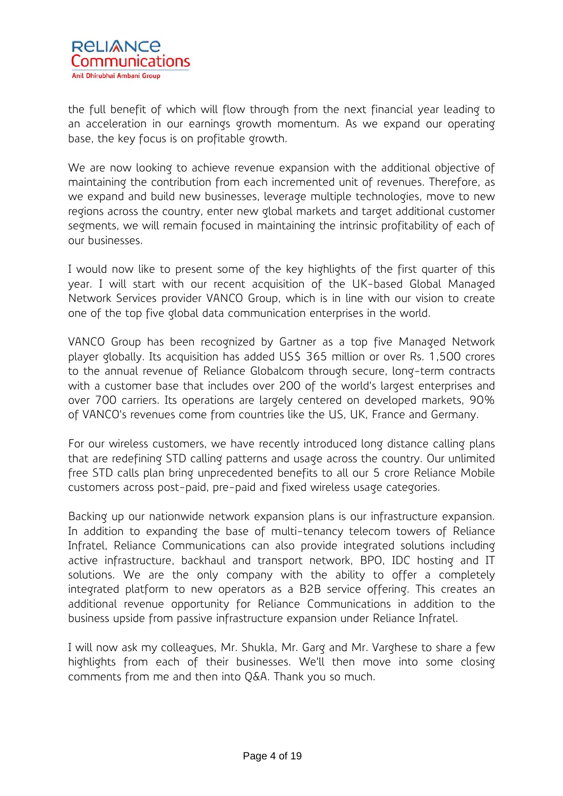

the full benefit of which will flow through from the next financial year leading to an acceleration in our earnings growth momentum. As we expand our operating base, the key focus is on profitable growth.

We are now looking to achieve revenue expansion with the additional objective of maintaining the contribution from each incremented unit of revenues. Therefore, as we expand and build new businesses, leverage multiple technologies, move to new regions across the country, enter new global markets and target additional customer segments, we will remain focused in maintaining the intrinsic profitability of each of our businesses.

I would now like to present some of the key highlights of the first quarter of this year. I will start with our recent acquisition of the UK-based Global Managed Network Services provider VANCO Group, which is in line with our vision to create one of the top five global data communication enterprises in the world.

VANCO Group has been recognized by Gartner as a top five Managed Network player globally. Its acquisition has added US\$ 365 million or over Rs. 1,500 crores to the annual revenue of Reliance Globalcom through secure, long-term contracts with a customer base that includes over 200 of the world's largest enterprises and over 700 carriers. Its operations are largely centered on developed markets, 90% of VANCO's revenues come from countries like the US, UK, France and Germany.

For our wireless customers, we have recently introduced long distance calling plans that are redefining STD calling patterns and usage across the country. Our unlimited free STD calls plan bring unprecedented benefits to all our 5 crore Reliance Mobile customers across post-paid, pre-paid and fixed wireless usage categories.

Backing up our nationwide network expansion plans is our infrastructure expansion. In addition to expanding the base of multi-tenancy telecom towers of Reliance Infratel, Reliance Communications can also provide integrated solutions including active infrastructure, backhaul and transport network, BPO, IDC hosting and IT solutions. We are the only company with the ability to offer a completely integrated platform to new operators as a B2B service offering. This creates an additional revenue opportunity for Reliance Communications in addition to the business upside from passive infrastructure expansion under Reliance Infratel.

I will now ask my colleagues, Mr. Shukla, Mr. Garg and Mr. Varghese to share a few highlights from each of their businesses. We'll then move into some closing comments from me and then into Q&A. Thank you so much.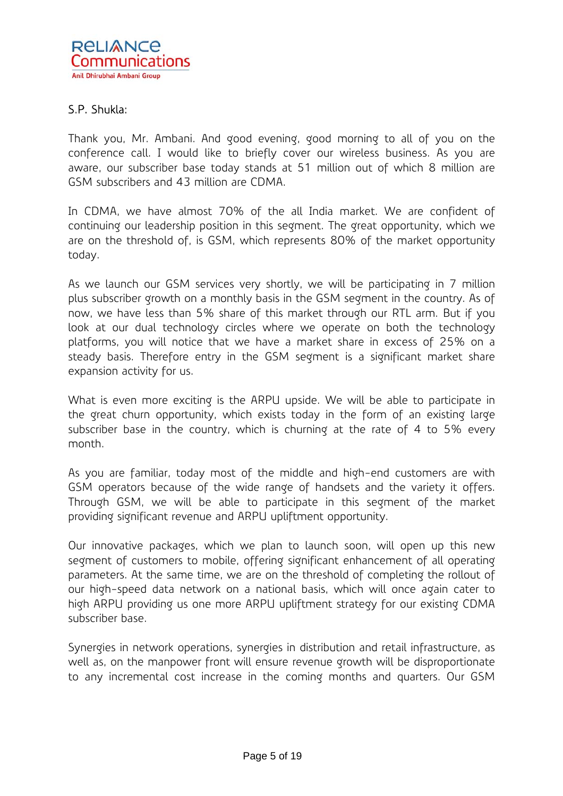# S.P. Shukla:

Thank you, Mr. Ambani. And good evening, good morning to all of you on the conference call. I would like to briefly cover our wireless business. As you are aware, our subscriber base today stands at 51 million out of which 8 million are GSM subscribers and 43 million are CDMA.

In CDMA, we have almost 70% of the all India market. We are confident of continuing our leadership position in this segment. The great opportunity, which we are on the threshold of, is GSM, which represents 80% of the market opportunity today.

As we launch our GSM services very shortly, we will be participating in 7 million plus subscriber growth on a monthly basis in the GSM segment in the country. As of now, we have less than 5% share of this market through our RTL arm. But if you look at our dual technology circles where we operate on both the technology platforms, you will notice that we have a market share in excess of 25% on a steady basis. Therefore entry in the GSM segment is a significant market share expansion activity for us.

What is even more exciting is the ARPU upside. We will be able to participate in the great churn opportunity, which exists today in the form of an existing large subscriber base in the country, which is churning at the rate of 4 to 5% every month.

As you are familiar, today most of the middle and high-end customers are with GSM operators because of the wide range of handsets and the variety it offers. Through GSM, we will be able to participate in this segment of the market providing significant revenue and ARPU upliftment opportunity.

Our innovative packages, which we plan to launch soon, will open up this new segment of customers to mobile, offering significant enhancement of all operating parameters. At the same time, we are on the threshold of completing the rollout of our high-speed data network on a national basis, which will once again cater to high ARPU providing us one more ARPU upliftment strategy for our existing CDMA subscriber base.

Synergies in network operations, synergies in distribution and retail infrastructure, as well as, on the manpower front will ensure revenue growth will be disproportionate to any incremental cost increase in the coming months and quarters. Our GSM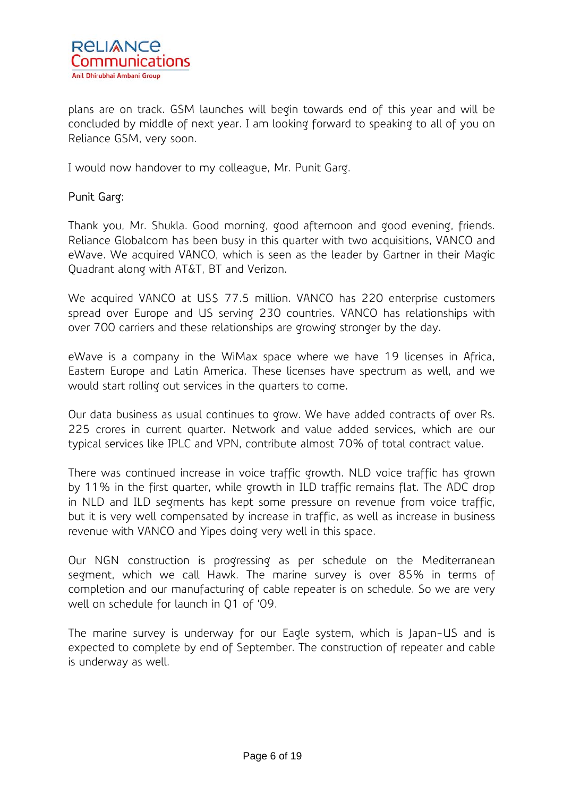

plans are on track. GSM launches will begin towards end of this year and will be concluded by middle of next year. I am looking forward to speaking to all of you on Reliance GSM, very soon.

I would now handover to my colleague, Mr. Punit Garg.

# Punit Garg:

Thank you, Mr. Shukla. Good morning, good afternoon and good evening, friends. Reliance Globalcom has been busy in this quarter with two acquisitions, VANCO and eWave. We acquired VANCO, which is seen as the leader by Gartner in their Magic Quadrant along with AT&T, BT and Verizon.

We acquired VANCO at US\$ 77.5 million. VANCO has 220 enterprise customers spread over Europe and US serving 230 countries. VANCO has relationships with over 700 carriers and these relationships are growing stronger by the day.

eWave is a company in the WiMax space where we have 19 licenses in Africa, Eastern Europe and Latin America. These licenses have spectrum as well, and we would start rolling out services in the quarters to come.

Our data business as usual continues to grow. We have added contracts of over Rs. 225 crores in current quarter. Network and value added services, which are our typical services like IPLC and VPN, contribute almost 70% of total contract value.

There was continued increase in voice traffic growth. NLD voice traffic has grown by 11% in the first quarter, while growth in ILD traffic remains flat. The ADC drop in NLD and ILD segments has kept some pressure on revenue from voice traffic, but it is very well compensated by increase in traffic, as well as increase in business revenue with VANCO and Yipes doing very well in this space.

Our NGN construction is progressing as per schedule on the Mediterranean segment, which we call Hawk. The marine survey is over 85% in terms of completion and our manufacturing of cable repeater is on schedule. So we are very well on schedule for launch in Q1 of '09.

The marine survey is underway for our Eagle system, which is Japan-US and is expected to complete by end of September. The construction of repeater and cable is underway as well.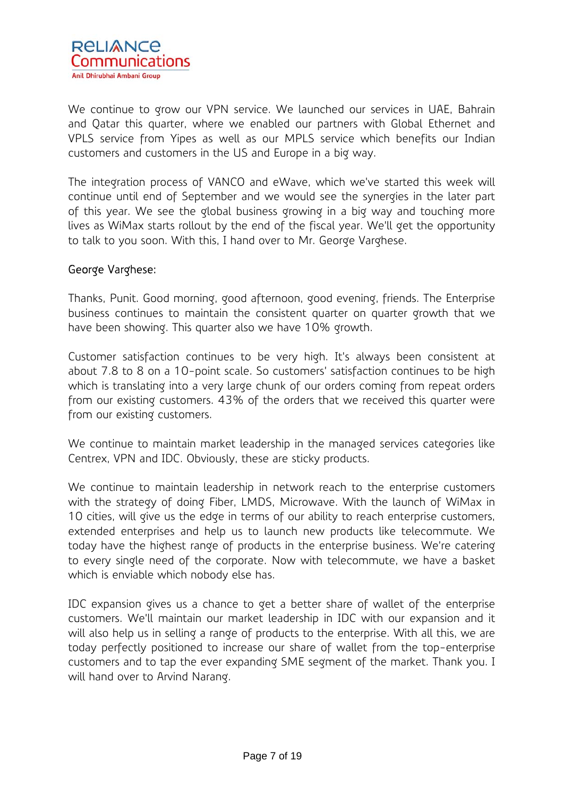

We continue to grow our VPN service. We launched our services in UAE, Bahrain and Qatar this quarter, where we enabled our partners with Global Ethernet and VPLS service from Yipes as well as our MPLS service which benefits our Indian customers and customers in the US and Europe in a big way.

The integration process of VANCO and eWave, which we've started this week will continue until end of September and we would see the synergies in the later part of this year. We see the global business growing in a big way and touching more lives as WiMax starts rollout by the end of the fiscal year. We'll get the opportunity to talk to you soon. With this, I hand over to Mr. George Varghese.

### George Varghese:

Thanks, Punit. Good morning, good afternoon, good evening, friends. The Enterprise business continues to maintain the consistent quarter on quarter growth that we have been showing. This quarter also we have 10% growth.

Customer satisfaction continues to be very high. It's always been consistent at about 7.8 to 8 on a 10-point scale. So customers' satisfaction continues to be high which is translating into a very large chunk of our orders coming from repeat orders from our existing customers. 43% of the orders that we received this quarter were from our existing customers.

We continue to maintain market leadership in the managed services categories like Centrex, VPN and IDC. Obviously, these are sticky products.

We continue to maintain leadership in network reach to the enterprise customers with the strategy of doing Fiber, LMDS, Microwave. With the launch of WiMax in 10 cities, will give us the edge in terms of our ability to reach enterprise customers, extended enterprises and help us to launch new products like telecommute. We today have the highest range of products in the enterprise business. We're catering to every single need of the corporate. Now with telecommute, we have a basket which is enviable which nobody else has.

IDC expansion gives us a chance to get a better share of wallet of the enterprise customers. We'll maintain our market leadership in IDC with our expansion and it will also help us in selling a range of products to the enterprise. With all this, we are today perfectly positioned to increase our share of wallet from the top-enterprise customers and to tap the ever expanding SME segment of the market. Thank you. I will hand over to Arvind Narang.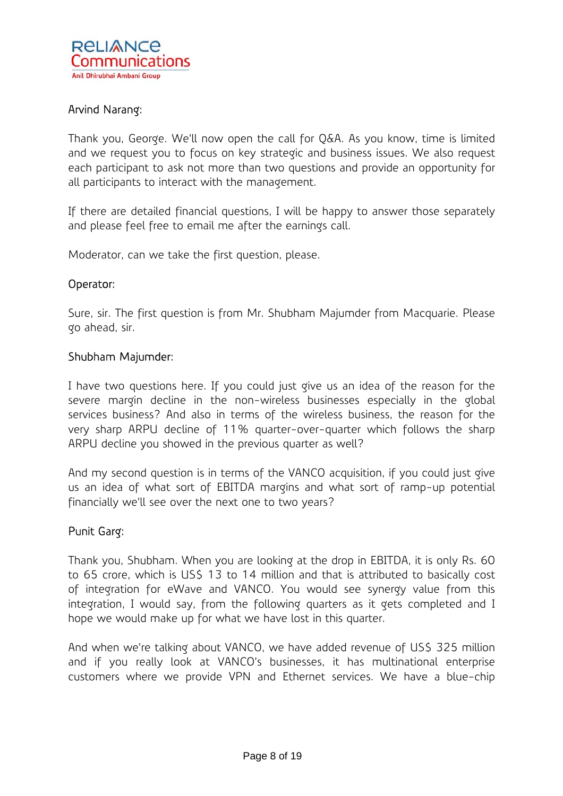

# Arvind Narang:

Thank you, George. We'll now open the call for Q&A. As you know, time is limited and we request you to focus on key strategic and business issues. We also request each participant to ask not more than two questions and provide an opportunity for all participants to interact with the management.

If there are detailed financial questions, I will be happy to answer those separately and please feel free to email me after the earnings call.

Moderator, can we take the first question, please.

#### Operator:

Sure, sir. The first question is from Mr. Shubham Majumder from Macquarie. Please go ahead, sir.

#### Shubham Majumder:

I have two questions here. If you could just give us an idea of the reason for the severe margin decline in the non-wireless businesses especially in the global services business? And also in terms of the wireless business, the reason for the very sharp ARPU decline of 11% quarter-over-quarter which follows the sharp ARPU decline you showed in the previous quarter as well?

And my second question is in terms of the VANCO acquisition, if you could just give us an idea of what sort of EBITDA margins and what sort of ramp-up potential financially we'll see over the next one to two years?

#### Punit Garg:

Thank you, Shubham. When you are looking at the drop in EBITDA, it is only Rs. 60 to 65 crore, which is US\$ 13 to 14 million and that is attributed to basically cost of integration for eWave and VANCO. You would see synergy value from this integration, I would say, from the following quarters as it gets completed and I hope we would make up for what we have lost in this quarter.

And when we're talking about VANCO, we have added revenue of US\$ 325 million and if you really look at VANCO's businesses, it has multinational enterprise customers where we provide VPN and Ethernet services. We have a blue-chip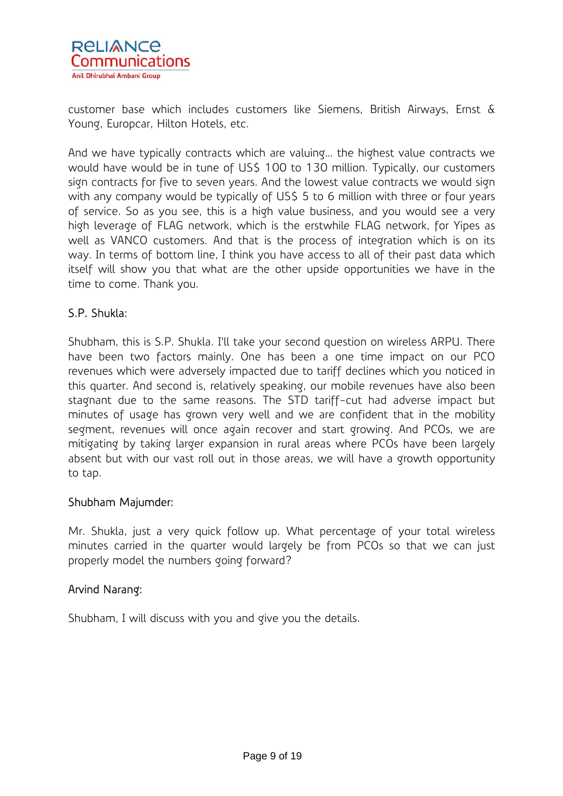

customer base which includes customers like Siemens, British Airways, Ernst & Young, Europcar, Hilton Hotels, etc.

And we have typically contracts which are valuing… the highest value contracts we would have would be in tune of US\$ 100 to 130 million. Typically, our customers sign contracts for five to seven years. And the lowest value contracts we would sign with any company would be typically of US\$ 5 to 6 million with three or four years of service. So as you see, this is a high value business, and you would see a very high leverage of FLAG network, which is the erstwhile FLAG network, for Yipes as well as VANCO customers. And that is the process of integration which is on its way. In terms of bottom line, I think you have access to all of their past data which itself will show you that what are the other upside opportunities we have in the time to come. Thank you.

# S.P. Shukla:

Shubham, this is S.P. Shukla. I'll take your second question on wireless ARPU. There have been two factors mainly. One has been a one time impact on our PCO revenues which were adversely impacted due to tariff declines which you noticed in this quarter. And second is, relatively speaking, our mobile revenues have also been stagnant due to the same reasons. The STD tariff-cut had adverse impact but minutes of usage has grown very well and we are confident that in the mobility segment, revenues will once again recover and start growing. And PCOs, we are mitigating by taking larger expansion in rural areas where PCOs have been largely absent but with our vast roll out in those areas, we will have a growth opportunity to tap.

#### Shubham Majumder:

Mr. Shukla, just a very quick follow up. What percentage of your total wireless minutes carried in the quarter would largely be from PCOs so that we can just properly model the numbers going forward?

# Arvind Narang:

Shubham, I will discuss with you and give you the details.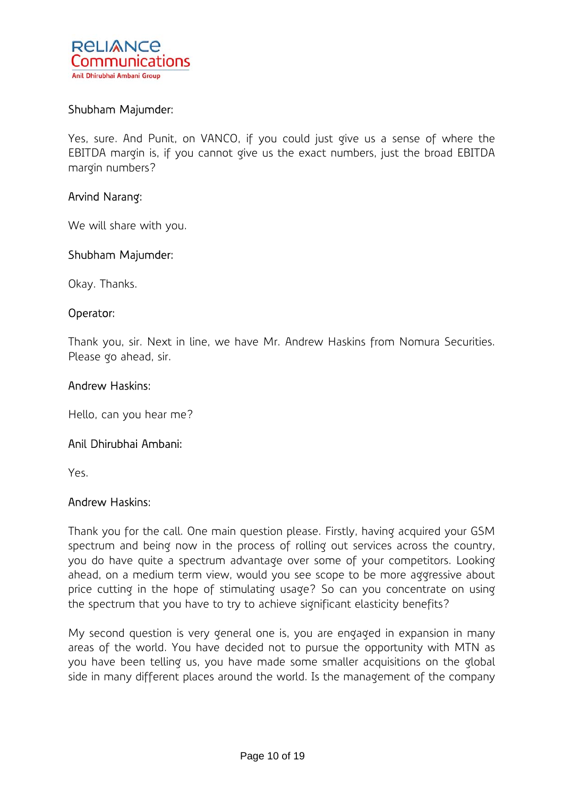

### Shubham Majumder:

Yes, sure. And Punit, on VANCO, if you could just give us a sense of where the EBITDA margin is, if you cannot give us the exact numbers, just the broad EBITDA margin numbers?

### Arvind Narang:

We will share with you.

#### Shubham Majumder:

Okay. Thanks.

### Operator:

Thank you, sir. Next in line, we have Mr. Andrew Haskins from Nomura Securities. Please go ahead, sir.

#### Andrew Haskins:

Hello, can you hear me?

#### Anil Dhirubhai Ambani:

Yes.

#### Andrew Haskins:

Thank you for the call. One main question please. Firstly, having acquired your GSM spectrum and being now in the process of rolling out services across the country, you do have quite a spectrum advantage over some of your competitors. Looking ahead, on a medium term view, would you see scope to be more aggressive about price cutting in the hope of stimulating usage? So can you concentrate on using the spectrum that you have to try to achieve significant elasticity benefits?

My second question is very general one is, you are engaged in expansion in many areas of the world. You have decided not to pursue the opportunity with MTN as you have been telling us, you have made some smaller acquisitions on the global side in many different places around the world. Is the management of the company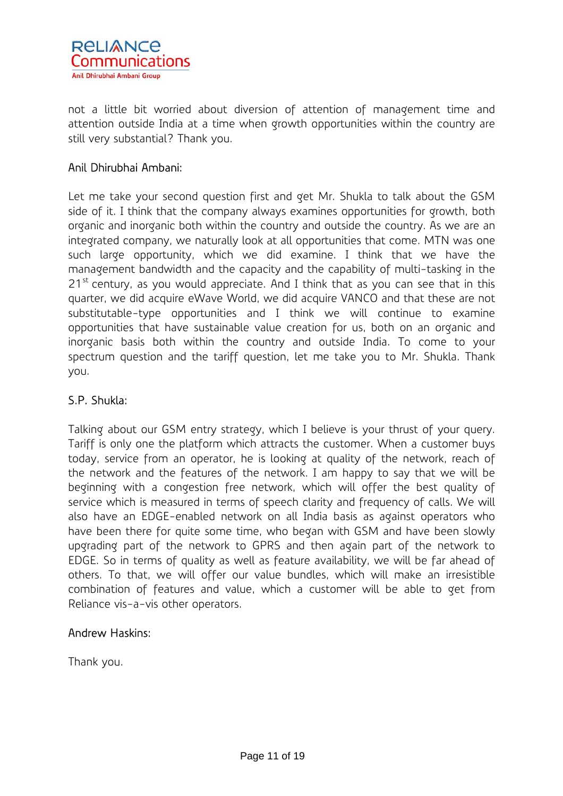

not a little bit worried about diversion of attention of management time and attention outside India at a time when growth opportunities within the country are still very substantial? Thank you.

# Anil Dhirubhai Ambani:

Let me take your second question first and get Mr. Shukla to talk about the GSM side of it. I think that the company always examines opportunities for growth, both organic and inorganic both within the country and outside the country. As we are an integrated company, we naturally look at all opportunities that come. MTN was one such large opportunity, which we did examine. I think that we have the management bandwidth and the capacity and the capability of multi-tasking in the  $21^{st}$  century, as you would appreciate. And I think that as you can see that in this quarter, we did acquire eWave World, we did acquire VANCO and that these are not substitutable-type opportunities and I think we will continue to examine opportunities that have sustainable value creation for us, both on an organic and inorganic basis both within the country and outside India. To come to your spectrum question and the tariff question, let me take you to Mr. Shukla. Thank you.

# S.P. Shukla:

Talking about our GSM entry strategy, which I believe is your thrust of your query. Tariff is only one the platform which attracts the customer. When a customer buys today, service from an operator, he is looking at quality of the network, reach of the network and the features of the network. I am happy to say that we will be beginning with a congestion free network, which will offer the best quality of service which is measured in terms of speech clarity and frequency of calls. We will also have an EDGE-enabled network on all India basis as against operators who have been there for quite some time, who began with GSM and have been slowly upgrading part of the network to GPRS and then again part of the network to EDGE. So in terms of quality as well as feature availability, we will be far ahead of others. To that, we will offer our value bundles, which will make an irresistible combination of features and value, which a customer will be able to get from Reliance vis-a-vis other operators.

# Andrew Haskins:

Thank you.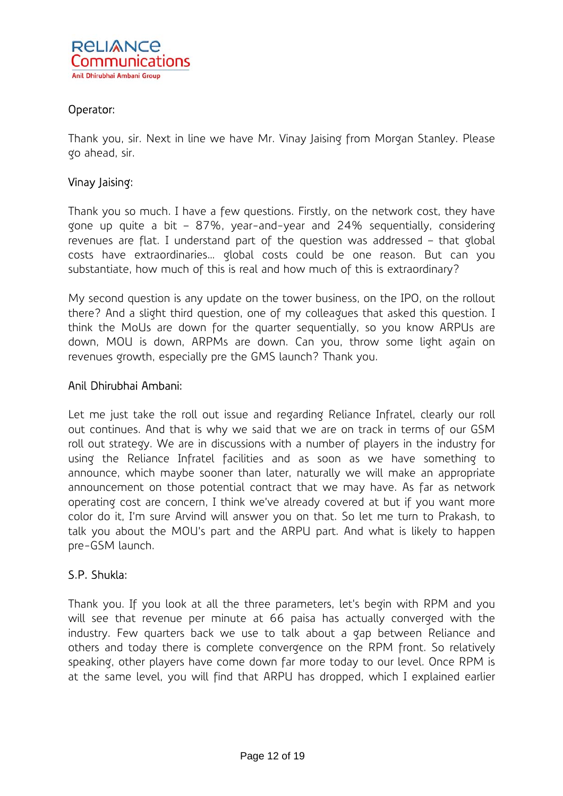

# Operator:

Thank you, sir. Next in line we have Mr. Vinay Jaising from Morgan Stanley. Please go ahead, sir.

### Vinay Jaising:

Thank you so much. I have a few questions. Firstly, on the network cost, they have gone up quite a bit – 87%, year-and-year and 24% sequentially, considering revenues are flat. I understand part of the question was addressed – that global costs have extraordinaries… global costs could be one reason. But can you substantiate, how much of this is real and how much of this is extraordinary?

My second question is any update on the tower business, on the IPO, on the rollout there? And a slight third question, one of my colleagues that asked this question. I think the MoUs are down for the quarter sequentially, so you know ARPUs are down, MOU is down, ARPMs are down. Can you, throw some light again on revenues growth, especially pre the GMS launch? Thank you.

#### Anil Dhirubhai Ambani:

Let me just take the roll out issue and regarding Reliance Infratel, clearly our roll out continues. And that is why we said that we are on track in terms of our GSM roll out strategy. We are in discussions with a number of players in the industry for using the Reliance Infratel facilities and as soon as we have something to announce, which maybe sooner than later, naturally we will make an appropriate announcement on those potential contract that we may have. As far as network operating cost are concern, I think we've already covered at but if you want more color do it, I'm sure Arvind will answer you on that. So let me turn to Prakash, to talk you about the MOU's part and the ARPU part. And what is likely to happen pre-GSM launch.

#### S.P. Shukla:

Thank you. If you look at all the three parameters, let's begin with RPM and you will see that revenue per minute at 66 paisa has actually converged with the industry. Few quarters back we use to talk about a gap between Reliance and others and today there is complete convergence on the RPM front. So relatively speaking, other players have come down far more today to our level. Once RPM is at the same level, you will find that ARPU has dropped, which I explained earlier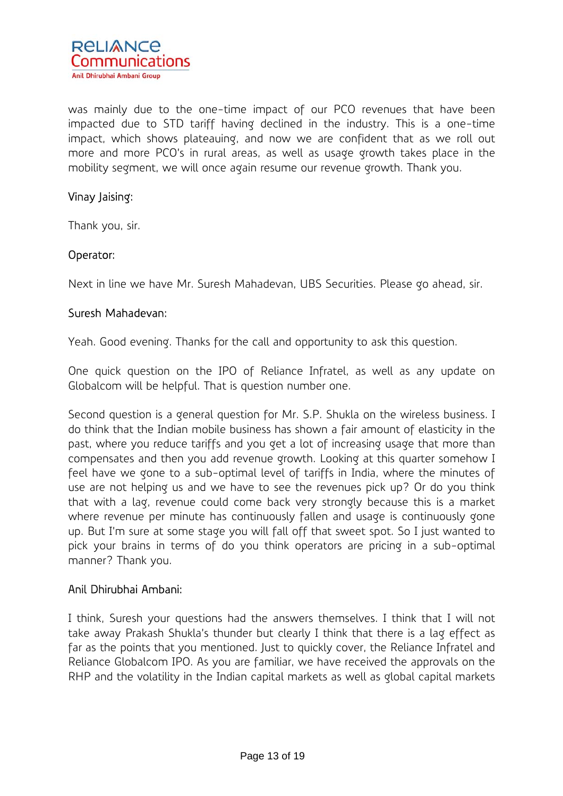

was mainly due to the one-time impact of our PCO revenues that have been impacted due to STD tariff having declined in the industry. This is a one-time impact, which shows plateauing, and now we are confident that as we roll out more and more PCO's in rural areas, as well as usage growth takes place in the mobility segment, we will once again resume our revenue growth. Thank you.

### Vinay Jaising:

Thank you, sir.

# Operator:

Next in line we have Mr. Suresh Mahadevan, UBS Securities. Please go ahead, sir.

### Suresh Mahadevan:

Yeah. Good evening. Thanks for the call and opportunity to ask this question.

One quick question on the IPO of Reliance Infratel, as well as any update on Globalcom will be helpful. That is question number one.

Second question is a general question for Mr. S.P. Shukla on the wireless business. I do think that the Indian mobile business has shown a fair amount of elasticity in the past, where you reduce tariffs and you get a lot of increasing usage that more than compensates and then you add revenue growth. Looking at this quarter somehow I feel have we gone to a sub-optimal level of tariffs in India, where the minutes of use are not helping us and we have to see the revenues pick up? Or do you think that with a lag, revenue could come back very strongly because this is a market where revenue per minute has continuously fallen and usage is continuously gone up. But I'm sure at some stage you will fall off that sweet spot. So I just wanted to pick your brains in terms of do you think operators are pricing in a sub-optimal manner? Thank you.

# Anil Dhirubhai Ambani:

I think, Suresh your questions had the answers themselves. I think that I will not take away Prakash Shukla's thunder but clearly I think that there is a lag effect as far as the points that you mentioned. Just to quickly cover, the Reliance Infratel and Reliance Globalcom IPO. As you are familiar, we have received the approvals on the RHP and the volatility in the Indian capital markets as well as global capital markets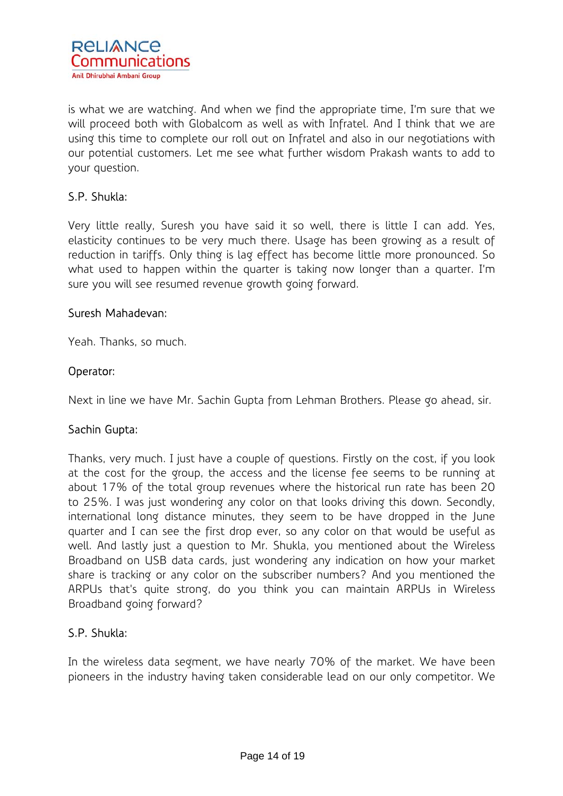

is what we are watching. And when we find the appropriate time, I'm sure that we will proceed both with Globalcom as well as with Infratel. And I think that we are using this time to complete our roll out on Infratel and also in our negotiations with our potential customers. Let me see what further wisdom Prakash wants to add to your question.

# S.P. Shukla:

Very little really, Suresh you have said it so well, there is little I can add. Yes, elasticity continues to be very much there. Usage has been growing as a result of reduction in tariffs. Only thing is lag effect has become little more pronounced. So what used to happen within the quarter is taking now longer than a quarter. I'm sure you will see resumed revenue growth going forward.

### Suresh Mahadevan:

Yeah. Thanks, so much.

# Operator:

Next in line we have Mr. Sachin Gupta from Lehman Brothers. Please go ahead, sir.

# Sachin Gupta:

Thanks, very much. I just have a couple of questions. Firstly on the cost, if you look at the cost for the group, the access and the license fee seems to be running at about 17% of the total group revenues where the historical run rate has been 20 to 25%. I was just wondering any color on that looks driving this down. Secondly, international long distance minutes, they seem to be have dropped in the June quarter and I can see the first drop ever, so any color on that would be useful as well. And lastly just a question to Mr. Shukla, you mentioned about the Wireless Broadband on USB data cards, just wondering any indication on how your market share is tracking or any color on the subscriber numbers? And you mentioned the ARPUs that's quite strong, do you think you can maintain ARPUs in Wireless Broadband going forward?

# S.P. Shukla:

In the wireless data segment, we have nearly 70% of the market. We have been pioneers in the industry having taken considerable lead on our only competitor. We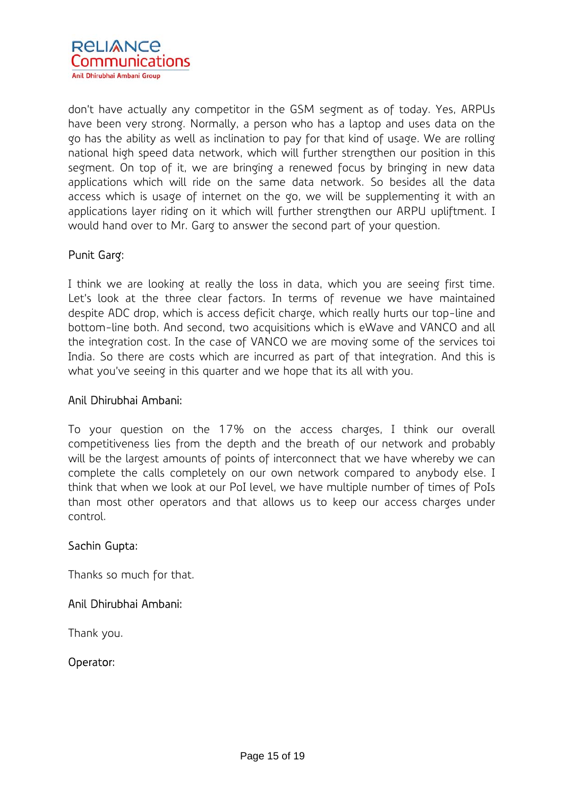

don't have actually any competitor in the GSM segment as of today. Yes, ARPUs have been very strong. Normally, a person who has a laptop and uses data on the go has the ability as well as inclination to pay for that kind of usage. We are rolling national high speed data network, which will further strengthen our position in this segment. On top of it, we are bringing a renewed focus by bringing in new data applications which will ride on the same data network. So besides all the data access which is usage of internet on the go, we will be supplementing it with an applications layer riding on it which will further strengthen our ARPU upliftment. I would hand over to Mr. Garg to answer the second part of your question.

# Punit Garg:

I think we are looking at really the loss in data, which you are seeing first time. Let's look at the three clear factors. In terms of revenue we have maintained despite ADC drop, which is access deficit charge, which really hurts our top-line and bottom-line both. And second, two acquisitions which is eWave and VANCO and all the integration cost. In the case of VANCO we are moving some of the services toi India. So there are costs which are incurred as part of that integration. And this is what you've seeing in this quarter and we hope that its all with you.

#### Anil Dhirubhai Ambani:

To your question on the 17% on the access charges, I think our overall competitiveness lies from the depth and the breath of our network and probably will be the largest amounts of points of interconnect that we have whereby we can complete the calls completely on our own network compared to anybody else. I think that when we look at our PoI level, we have multiple number of times of PoIs than most other operators and that allows us to keep our access charges under control.

# Sachin Gupta:

Thanks so much for that.

# Anil Dhirubhai Ambani:

Thank you.

# Operator: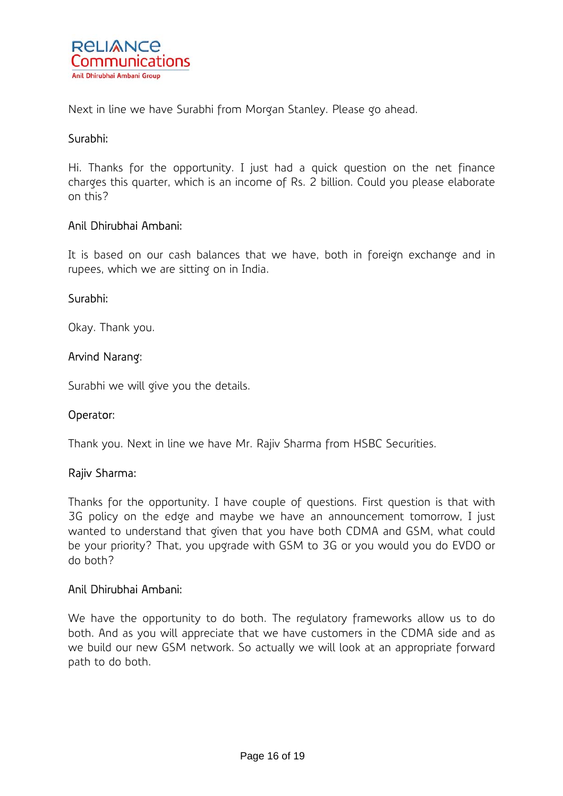

Next in line we have Surabhi from Morgan Stanley. Please go ahead.

### Surabhi:

Hi. Thanks for the opportunity. I just had a quick question on the net finance charges this quarter, which is an income of Rs. 2 billion. Could you please elaborate on this?

### Anil Dhirubhai Ambani:

It is based on our cash balances that we have, both in foreign exchange and in rupees, which we are sitting on in India.

#### Surabhi:

Okay. Thank you.

### Arvind Narang:

Surabhi we will give you the details.

#### Operator:

Thank you. Next in line we have Mr. Rajiv Sharma from HSBC Securities.

#### Rajiv Sharma:

Thanks for the opportunity. I have couple of questions. First question is that with 3G policy on the edge and maybe we have an announcement tomorrow, I just wanted to understand that given that you have both CDMA and GSM, what could be your priority? That, you upgrade with GSM to 3G or you would you do EVDO or do both?

#### Anil Dhirubhai Ambani:

We have the opportunity to do both. The regulatory frameworks allow us to do both. And as you will appreciate that we have customers in the CDMA side and as we build our new GSM network. So actually we will look at an appropriate forward path to do both.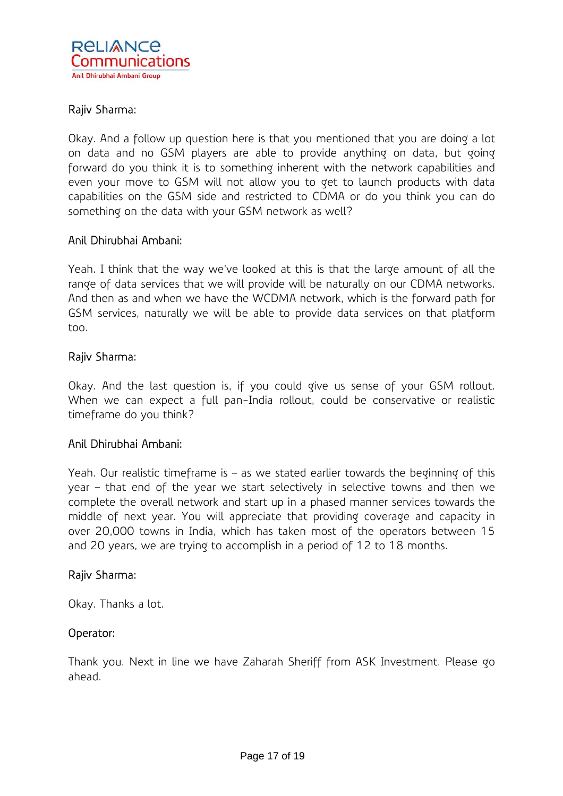

# Rajiv Sharma:

Okay. And a follow up question here is that you mentioned that you are doing a lot on data and no GSM players are able to provide anything on data, but going forward do you think it is to something inherent with the network capabilities and even your move to GSM will not allow you to get to launch products with data capabilities on the GSM side and restricted to CDMA or do you think you can do something on the data with your GSM network as well?

### Anil Dhirubhai Ambani:

Yeah. I think that the way we've looked at this is that the large amount of all the range of data services that we will provide will be naturally on our CDMA networks. And then as and when we have the WCDMA network, which is the forward path for GSM services, naturally we will be able to provide data services on that platform too.

### Rajiv Sharma:

Okay. And the last question is, if you could give us sense of your GSM rollout. When we can expect a full pan-India rollout, could be conservative or realistic timeframe do you think?

# Anil Dhirubhai Ambani:

Yeah. Our realistic timeframe is – as we stated earlier towards the beginning of this year – that end of the year we start selectively in selective towns and then we complete the overall network and start up in a phased manner services towards the middle of next year. You will appreciate that providing coverage and capacity in over 20,000 towns in India, which has taken most of the operators between 15 and 20 years, we are trying to accomplish in a period of 12 to 18 months.

#### Rajiv Sharma:

Okay. Thanks a lot.

#### Operator:

Thank you. Next in line we have Zaharah Sheriff from ASK Investment. Please go ahead.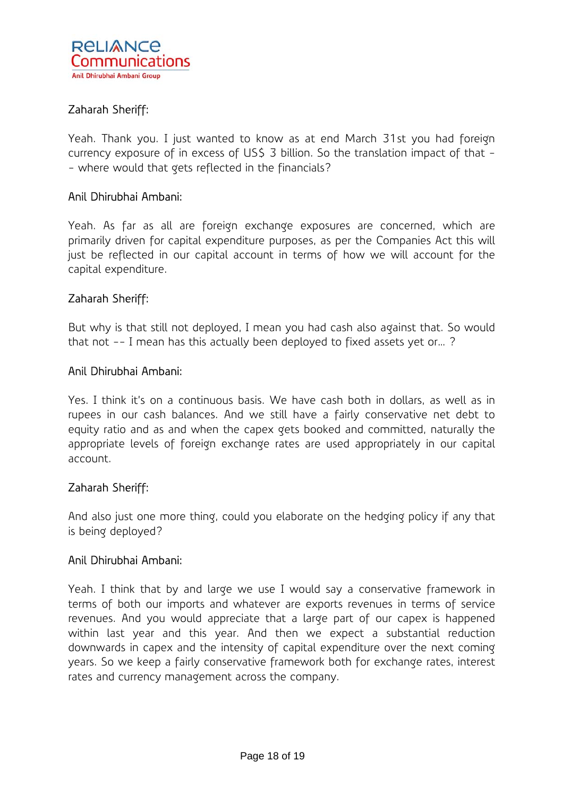

# Zaharah Sheriff:

Yeah. Thank you. I just wanted to know as at end March 31st you had foreign currency exposure of in excess of US\$ 3 billion. So the translation impact of that -- where would that gets reflected in the financials?

### Anil Dhirubhai Ambani:

Yeah. As far as all are foreign exchange exposures are concerned, which are primarily driven for capital expenditure purposes, as per the Companies Act this will just be reflected in our capital account in terms of how we will account for the capital expenditure.

### Zaharah Sheriff:

But why is that still not deployed, I mean you had cash also against that. So would that not -- I mean has this actually been deployed to fixed assets yet or… ?

#### Anil Dhirubhai Ambani:

Yes. I think it's on a continuous basis. We have cash both in dollars, as well as in rupees in our cash balances. And we still have a fairly conservative net debt to equity ratio and as and when the capex gets booked and committed, naturally the appropriate levels of foreign exchange rates are used appropriately in our capital account.

#### Zaharah Sheriff:

And also just one more thing, could you elaborate on the hedging policy if any that is being deployed?

# Anil Dhirubhai Ambani:

Yeah. I think that by and large we use I would say a conservative framework in terms of both our imports and whatever are exports revenues in terms of service revenues. And you would appreciate that a large part of our capex is happened within last year and this year. And then we expect a substantial reduction downwards in capex and the intensity of capital expenditure over the next coming years. So we keep a fairly conservative framework both for exchange rates, interest rates and currency management across the company.